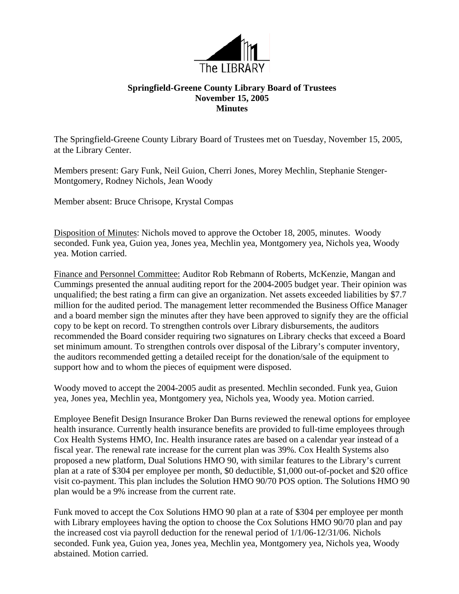

## **Springfield-Greene County Library Board of Trustees November 15, 2005 Minutes**

The Springfield-Greene County Library Board of Trustees met on Tuesday, November 15, 2005, at the Library Center.

Members present: Gary Funk, Neil Guion, Cherri Jones, Morey Mechlin, Stephanie Stenger-Montgomery, Rodney Nichols, Jean Woody

Member absent: Bruce Chrisope, Krystal Compas

Disposition of Minutes: Nichols moved to approve the October 18, 2005, minutes. Woody seconded. Funk yea, Guion yea, Jones yea, Mechlin yea, Montgomery yea, Nichols yea, Woody yea. Motion carried.

Finance and Personnel Committee: Auditor Rob Rebmann of Roberts, McKenzie, Mangan and Cummings presented the annual auditing report for the 2004-2005 budget year. Their opinion was unqualified; the best rating a firm can give an organization. Net assets exceeded liabilities by \$7.7 million for the audited period. The management letter recommended the Business Office Manager and a board member sign the minutes after they have been approved to signify they are the official copy to be kept on record. To strengthen controls over Library disbursements, the auditors recommended the Board consider requiring two signatures on Library checks that exceed a Board set minimum amount. To strengthen controls over disposal of the Library's computer inventory, the auditors recommended getting a detailed receipt for the donation/sale of the equipment to support how and to whom the pieces of equipment were disposed.

Woody moved to accept the 2004-2005 audit as presented. Mechlin seconded. Funk yea, Guion yea, Jones yea, Mechlin yea, Montgomery yea, Nichols yea, Woody yea. Motion carried.

Employee Benefit Design Insurance Broker Dan Burns reviewed the renewal options for employee health insurance. Currently health insurance benefits are provided to full-time employees through Cox Health Systems HMO, Inc. Health insurance rates are based on a calendar year instead of a fiscal year. The renewal rate increase for the current plan was 39%. Cox Health Systems also proposed a new platform, Dual Solutions HMO 90, with similar features to the Library's current plan at a rate of \$304 per employee per month, \$0 deductible, \$1,000 out-of-pocket and \$20 office visit co-payment. This plan includes the Solution HMO 90/70 POS option. The Solutions HMO 90 plan would be a 9% increase from the current rate.

Funk moved to accept the Cox Solutions HMO 90 plan at a rate of \$304 per employee per month with Library employees having the option to choose the Cox Solutions HMO 90/70 plan and pay the increased cost via payroll deduction for the renewal period of 1/1/06-12/31/06. Nichols seconded. Funk yea, Guion yea, Jones yea, Mechlin yea, Montgomery yea, Nichols yea, Woody abstained. Motion carried.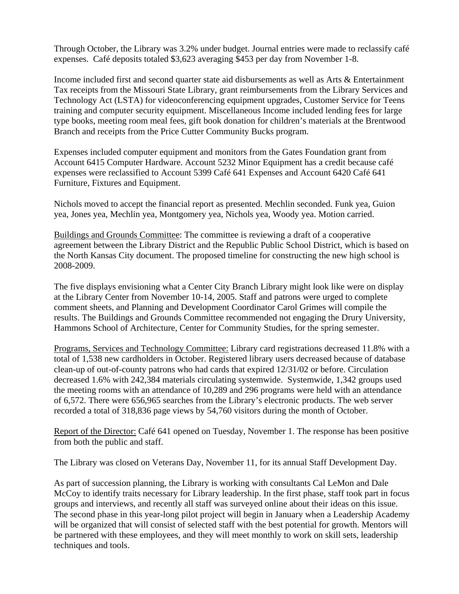Through October, the Library was 3.2% under budget. Journal entries were made to reclassify café expenses. Café deposits totaled \$3,623 averaging \$453 per day from November 1-8.

Income included first and second quarter state aid disbursements as well as Arts & Entertainment Tax receipts from the Missouri State Library, grant reimbursements from the Library Services and Technology Act (LSTA) for videoconferencing equipment upgrades, Customer Service for Teens training and computer security equipment. Miscellaneous Income included lending fees for large type books, meeting room meal fees, gift book donation for children's materials at the Brentwood Branch and receipts from the Price Cutter Community Bucks program.

Expenses included computer equipment and monitors from the Gates Foundation grant from Account 6415 Computer Hardware. Account 5232 Minor Equipment has a credit because café expenses were reclassified to Account 5399 Café 641 Expenses and Account 6420 Café 641 Furniture, Fixtures and Equipment.

Nichols moved to accept the financial report as presented. Mechlin seconded. Funk yea, Guion yea, Jones yea, Mechlin yea, Montgomery yea, Nichols yea, Woody yea. Motion carried.

Buildings and Grounds Committee: The committee is reviewing a draft of a cooperative agreement between the Library District and the Republic Public School District, which is based on the North Kansas City document. The proposed timeline for constructing the new high school is 2008-2009.

The five displays envisioning what a Center City Branch Library might look like were on display at the Library Center from November 10-14, 2005. Staff and patrons were urged to complete comment sheets, and Planning and Development Coordinator Carol Grimes will compile the results. The Buildings and Grounds Committee recommended not engaging the Drury University, Hammons School of Architecture, Center for Community Studies, for the spring semester.

Programs, Services and Technology Committee: Library card registrations decreased 11.8% with a total of 1,538 new cardholders in October. Registered library users decreased because of database clean-up of out-of-county patrons who had cards that expired 12/31/02 or before. Circulation decreased 1.6% with 242,384 materials circulating systemwide. Systemwide, 1,342 groups used the meeting rooms with an attendance of 10,289 and 296 programs were held with an attendance of 6,572. There were 656,965 searches from the Library's electronic products. The web server recorded a total of 318,836 page views by 54,760 visitors during the month of October.

Report of the Director: Café 641 opened on Tuesday, November 1. The response has been positive from both the public and staff.

The Library was closed on Veterans Day, November 11, for its annual Staff Development Day.

As part of succession planning, the Library is working with consultants Cal LeMon and Dale McCoy to identify traits necessary for Library leadership. In the first phase, staff took part in focus groups and interviews, and recently all staff was surveyed online about their ideas on this issue. The second phase in this year-long pilot project will begin in January when a Leadership Academy will be organized that will consist of selected staff with the best potential for growth. Mentors will be partnered with these employees, and they will meet monthly to work on skill sets, leadership techniques and tools.